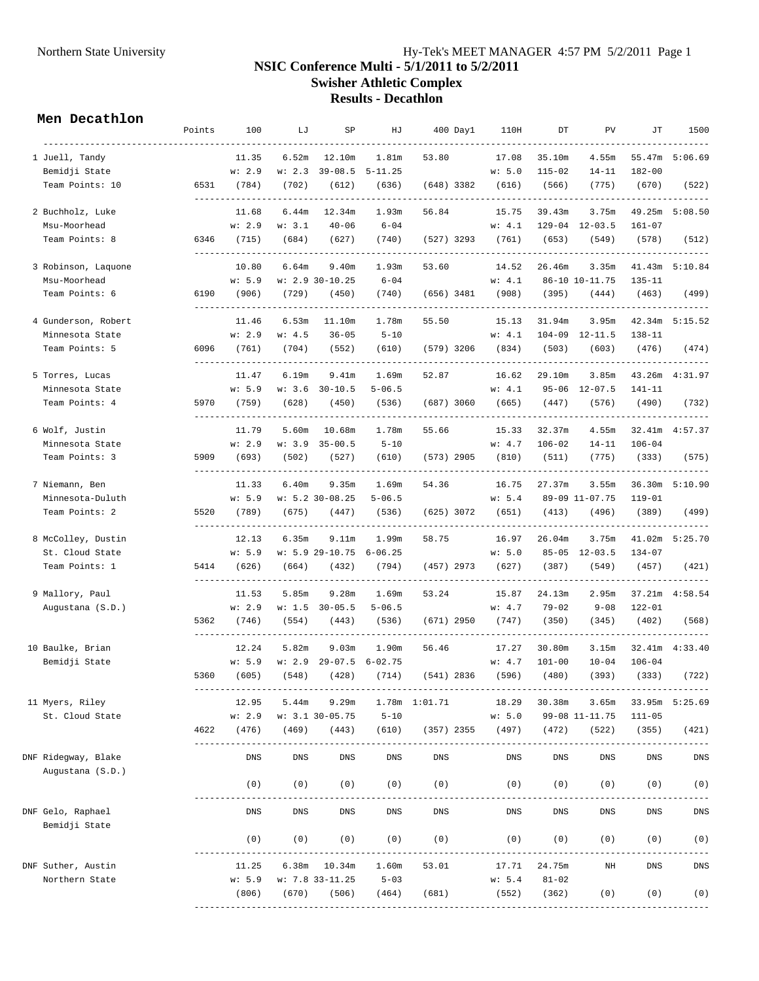## Northern State University Hy-Tek's MEET MANAGER 4:57 PM 5/2/2011 Page 1 **NSIC Conference Multi - 5/1/2011 to 5/2/2011 Swisher Athletic Complex Results - Decathlon**

## **Men Decathlon**

|                                         | Points | 100    | LJ     | SP                        | HJ                |                  | $400$ Day $1$ | 110H               | DT         | PV                 | JТ         | 1500            |
|-----------------------------------------|--------|--------|--------|---------------------------|-------------------|------------------|---------------|--------------------|------------|--------------------|------------|-----------------|
| 1 Juell, Tandy                          |        | 11.35  | 6.52m  | 12.10m                    | 1.81m             | 53.80            |               | 17.08              | 35.10m     | 4.55m              |            | 55.47m 5:06.69  |
| Bemidji State                           |        | w: 2.9 | w: 2.3 | $39 - 08.5$               | $5 - 11.25$       |                  |               | w: 5.0             | $115 - 02$ | $14 - 11$          | $182 - 00$ |                 |
| Team Points: 10                         | 6531   | (784)  | (702)  | (612)                     | (636)             | (648) 3382       |               | (616)              | (566)      | (775)              | (670)      | (522)           |
| 2 Buchholz, Luke                        |        | 11.68  | 6.44m  | 12.34m                    | 1.93m             | 56.84            |               | 15.75              | 39.43m     | 3.75m              |            | 49.25m 5:08.50  |
| Msu-Moorhead                            |        | w: 2.9 | w: 3.1 | $40 - 06$                 | $6 - 04$          |                  |               | w: 4.1             |            | 129-04 12-03.5     | $161 - 07$ |                 |
| Team Points: 8                          | 6346   | (715)  | (684)  | (627)                     | (740)             |                  |               | (527) 3293 (761)   | (653)      | (549)              | (578)      | (512)           |
| 3 Robinson, Laquone                     |        | 10.80  | 6.64m  | 9.40m                     | 1.93m             | 53.60            |               | 14.52              | 26.46m     | 3.35m              | 41.43m     | 5:10.84         |
| Msu-Moorhead                            |        | w: 5.9 |        | $w: 2.9 30-10.25$         | $6 - 04$          |                  |               | w: 4.1             |            | 86-10 10-11.75     | $135 - 11$ |                 |
| Team Points: 6                          | 6190   | (906)  | (729)  | (450)                     | (740)             | (656) 3481       |               | (908)              | (395)      | (444)              | (463)      | (499)           |
| 4 Gunderson, Robert                     |        | 11.46  | 6.53m  | 11.10m                    | 1.78m             | 55.50            |               | 15.13              | 31.94m     | 3.95m              |            | 42.34m 5:15.52  |
| Minnesota State                         |        | w: 2.9 | w: 4.5 | $36 - 05$                 | $5 - 10$          |                  |               | w: 4.1             |            | $104-09$ $12-11.5$ | $138 - 11$ |                 |
| Team Points: 5                          | 6096   | (761)  | (704)  | (552)                     | (610)             | (579) 3206       |               | (834)              | (503)      | (603)              | (476)      | (474)           |
| 5 Torres, Lucas                         |        | 11.47  | 6.19m  | 9.41m                     | 1.69m             | 52.87            |               | 16.62              | 29.10m     | 3.85m              |            | 43.26m  4:31.97 |
| Minnesota State                         |        | w: 5.9 |        | $w: 3.6 30-10.5$          | $5 - 06.5$        |                  |               | w: 4.1             |            | 95-06 12-07.5      | 141-11     |                 |
| Team Points: 4                          | 5970   | (759)  | (628)  | (450)                     | (536)             |                  |               | $(687)$ 3060 (665) | (447)      | (576)              | (490)      | (732)           |
| 6 Wolf, Justin                          |        | 11.79  | 5.60m  | 10.68m                    | 1.78m             | 55.66            |               | 15.33              | 32.37m     | 4.55m              |            | 32.41m  4:57.37 |
| Minnesota State                         |        | w: 2.9 |        | $w: 3.9 35 - 00.5$        | $5 - 10$          |                  |               | w: 4.7             | $106 - 02$ | $14 - 11$          | $106 - 04$ |                 |
| Team Points: 3                          | 5909   | (693)  | (502)  | (527)                     | (610)             | $(573)$ 2905     |               | (810)              | (511)      | (775)              | (333)      | (575)           |
| 7 Niemann, Ben                          |        | 11.33  | 6.40m  | 9.35m                     | 1.69m             | 54.36            |               | 16.75              | 27.37m     | 3.55m              |            | 36.30m 5:10.90  |
| Minnesota-Duluth                        |        | w: 5.9 |        | $w: 5.2 30-08.25$         | $5 - 06.5$        |                  |               | w: 5.4             |            | 89-09 11-07.75     | $119 - 01$ |                 |
| Team Points: 2                          | 5520   | (789)  | (675)  | (447)                     | (536)             | (625) 3072       |               | (651)              | (413)      | (496)              | (389)      | (499)           |
| 8 McColley, Dustin                      |        | 12.13  | 6.35m  | 9.11m                     | 1.99m             | 58.75            |               | 16.97              | 26.04m     | 3.75m              |            | 41.02m 5:25.70  |
| St. Cloud State                         |        | w: 5.9 |        | $w: 5.9 29-10.75 6-06.25$ |                   |                  |               | w: 5.0             |            | $85 - 05$ 12-03.5  | $134 - 07$ |                 |
| Team Points: 1                          | 5414   | (626)  | (664)  | (432)                     | (794)             |                  |               | (457) 2973 (627)   | (387)      | (549)              | (457)      | (421)           |
| 9 Mallory, Paul                         |        | 11.53  | 5.85m  | 9.28m                     | 1.69m             | 53.24            |               | 15.87              | 24.13m     | 2.95m              | 37.21m     | 4:58.54         |
| Augustana (S.D.)                        |        | w: 2.9 |        | $w: 1.5 30-05.5$          | $5 - 06.5$        |                  |               | w: 4.7             | $79 - 02$  | $9 - 08$           | $122 - 01$ |                 |
|                                         | 5362   | (746)  | (554)  | (443)                     | (536)             | $(671)$ 2950     |               | (747)              | (350)      | (345)              | (402)      | (568)           |
| 10 Baulke, Brian                        |        | 12.24  | 5.82m  | 9.03m                     | 1.90m             | 56.46            |               | 17.27              | 30.80m     | 3.15m              |            | 32.41m  4:33.40 |
| Bemidji State                           |        | w: 5.9 | w: 2.9 |                           | $29-07.5$ 6-02.75 |                  |               | w: 4.7             | $101 - 00$ | $10 - 04$          | $106 - 04$ |                 |
|                                         | 5360   | (605)  | (548)  | (428)                     | (714)             | $(541)$ 2836     |               | (596)              | (480)      | (393)              | (333)      | (722)           |
| 11 Myers, Riley                         |        | 12.95  | 5.44m  | 9.29m                     |                   | 1.78m    1:01.71 |               | 18.29              | 30.38m     | 3.65m              |            | 33.95m 5:25.69  |
| St. Cloud State                         |        | w: 2.9 |        | $w: 3.1 30 - 05.75$       | $5 - 10$          |                  |               | w: 5.0             |            | 99-08 11-11.75     | $111 - 05$ |                 |
|                                         | 4622   | (476)  | (469)  | (443)                     | (610)             | $(357)$ 2355     |               | (497)              | (472)      | (522)              | (355)      | (421)           |
| DNF Ridegway, Blake<br>Augustana (S.D.) |        | DNS    | DNS    | DNS                       | DNS               | DNS              |               | DNS                | DNS        | DNS                | DNS        | DNS             |
|                                         |        | (0)    | (0)    | (0)                       | (0)               | (0)              |               | (0)                | (0)        | (0)                | (0)        | (0)             |
| DNF Gelo, Raphael<br>Bemidji State      |        | DNS    | DNS    | DNS                       | DNS               | DNS              |               | DNS                | DNS        | DNS                | DNS        | <b>DNS</b>      |
|                                         |        | (0)    | (0)    | (0)                       | (0)               | (0)              |               | (0)                | (0)        | (0)                | (0)        | (0)             |
| DNF Suther, Austin                      |        | 11.25  |        | $6.38m$ $10.34m$          | 1.60m             | 53.01            |               | 17.71              | 24.75m     | NH                 | DNS        | DNS             |
| Northern State                          |        | w: 5.9 |        | $w: 7.8 33-11.25$         | $5 - 03$          |                  |               | w: 5.4             | $81 - 02$  |                    |            |                 |
|                                         |        | (806)  | (670)  | (506)                     | (464)             | (681)            |               | (552)              | (362)      | (0)                | (0)        | (0)             |
|                                         |        |        |        |                           |                   |                  |               |                    |            |                    |            |                 |